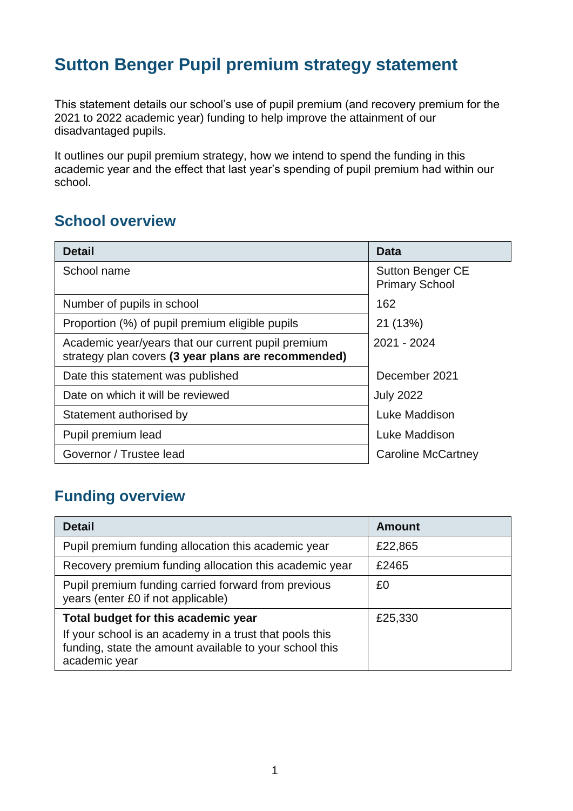# **Sutton Benger Pupil premium strategy statement**

This statement details our school's use of pupil premium (and recovery premium for the 2021 to 2022 academic year) funding to help improve the attainment of our disadvantaged pupils.

It outlines our pupil premium strategy, how we intend to spend the funding in this academic year and the effect that last year's spending of pupil premium had within our school.

#### **School overview**

| <b>Detail</b>                                                                                             | Data                                             |  |  |
|-----------------------------------------------------------------------------------------------------------|--------------------------------------------------|--|--|
| School name                                                                                               | <b>Sutton Benger CE</b><br><b>Primary School</b> |  |  |
| Number of pupils in school<br>162                                                                         |                                                  |  |  |
| Proportion (%) of pupil premium eligible pupils<br>21 (13%)                                               |                                                  |  |  |
| Academic year/years that our current pupil premium<br>strategy plan covers (3 year plans are recommended) | 2021 - 2024                                      |  |  |
| Date this statement was published                                                                         | December 2021                                    |  |  |
| Date on which it will be reviewed<br><b>July 2022</b>                                                     |                                                  |  |  |
| Luke Maddison<br>Statement authorised by                                                                  |                                                  |  |  |
| Pupil premium lead                                                                                        | Luke Maddison                                    |  |  |
| Governor / Trustee lead                                                                                   | Caroline McCartney                               |  |  |

### **Funding overview**

| <b>Detail</b>                                                                                                                       | Amount  |
|-------------------------------------------------------------------------------------------------------------------------------------|---------|
| Pupil premium funding allocation this academic year                                                                                 | £22,865 |
| Recovery premium funding allocation this academic year                                                                              | £2465   |
| Pupil premium funding carried forward from previous<br>years (enter £0 if not applicable)                                           | £0      |
| Total budget for this academic year                                                                                                 | £25,330 |
| If your school is an academy in a trust that pools this<br>funding, state the amount available to your school this<br>academic year |         |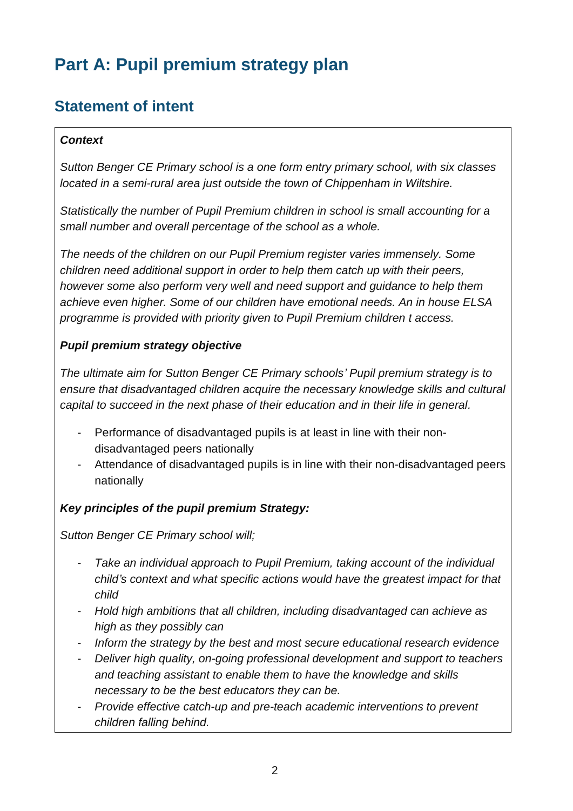# **Part A: Pupil premium strategy plan**

## **Statement of intent**

#### *Context*

*Sutton Benger CE Primary school is a one form entry primary school, with six classes located in a semi-rural area just outside the town of Chippenham in Wiltshire.* 

*Statistically the number of Pupil Premium children in school is small accounting for a small number and overall percentage of the school as a whole.*

*The needs of the children on our Pupil Premium register varies immensely. Some children need additional support in order to help them catch up with their peers, however some also perform very well and need support and guidance to help them achieve even higher. Some of our children have emotional needs. An in house ELSA programme is provided with priority given to Pupil Premium children t access.*

#### *Pupil premium strategy objective*

*The ultimate aim for Sutton Benger CE Primary schools' Pupil premium strategy is to ensure that disadvantaged children acquire the necessary knowledge skills and cultural capital to succeed in the next phase of their education and in their life in general.* 

- Performance of disadvantaged pupils is at least in line with their nondisadvantaged peers nationally
- Attendance of disadvantaged pupils is in line with their non-disadvantaged peers nationally

#### *Key principles of the pupil premium Strategy:*

*Sutton Benger CE Primary school will;*

- *Take an individual approach to Pupil Premium, taking account of the individual child's context and what specific actions would have the greatest impact for that child*
- *Hold high ambitions that all children, including disadvantaged can achieve as high as they possibly can*
- *Inform the strategy by the best and most secure educational research evidence*
- *Deliver high quality, on-going professional development and support to teachers and teaching assistant to enable them to have the knowledge and skills necessary to be the best educators they can be.*
- *Provide effective catch-up and pre-teach academic interventions to prevent children falling behind.*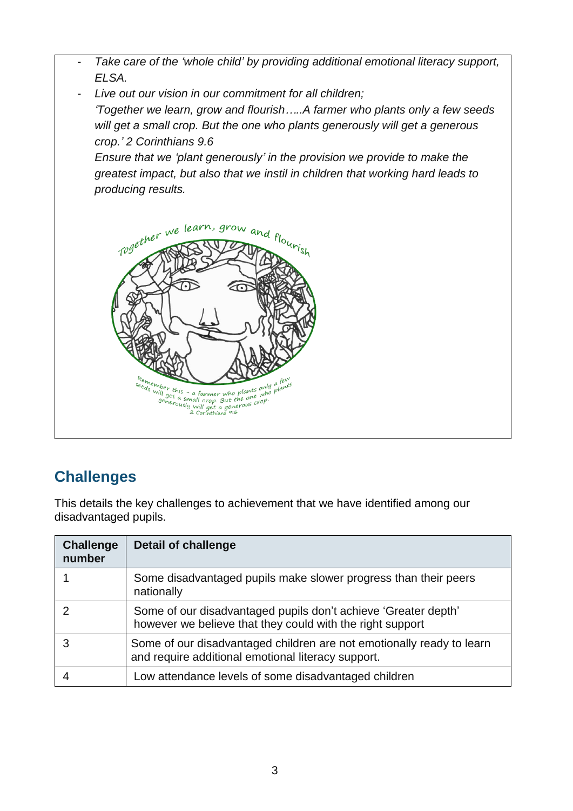

## **Challenges**

This details the key challenges to achievement that we have identified among our disadvantaged pupils.

| <b>Challenge</b><br>number | <b>Detail of challenge</b>                                                                                                  |
|----------------------------|-----------------------------------------------------------------------------------------------------------------------------|
|                            | Some disadvantaged pupils make slower progress than their peers<br>nationally                                               |
|                            | Some of our disadvantaged pupils don't achieve 'Greater depth'<br>however we believe that they could with the right support |
|                            | Some of our disadvantaged children are not emotionally ready to learn<br>and require additional emotional literacy support. |
|                            | Low attendance levels of some disadvantaged children                                                                        |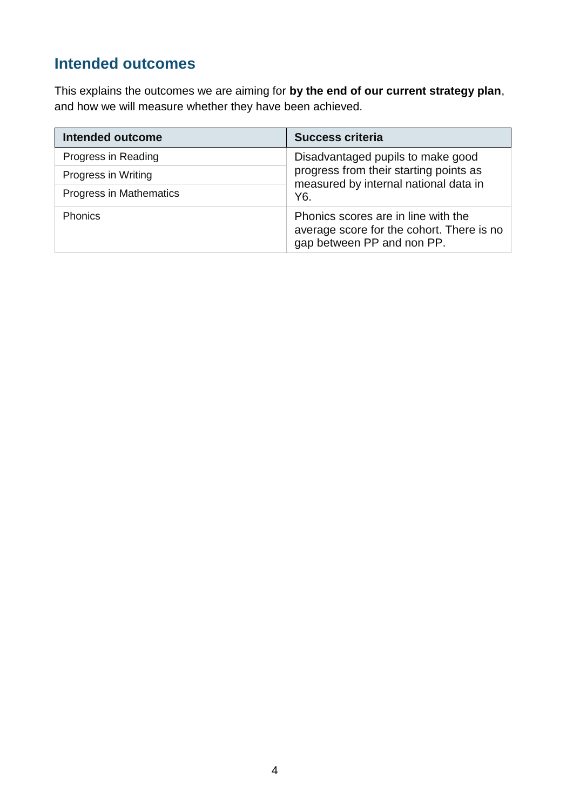# **Intended outcomes**

This explains the outcomes we are aiming for **by the end of our current strategy plan**, and how we will measure whether they have been achieved.

| <b>Intended outcome</b> | <b>Success criteria</b>                                                                                        |
|-------------------------|----------------------------------------------------------------------------------------------------------------|
| Progress in Reading     | Disadvantaged pupils to make good                                                                              |
| Progress in Writing     | progress from their starting points as<br>measured by internal national data in                                |
| Progress in Mathematics | Y6.                                                                                                            |
| Phonics                 | Phonics scores are in line with the<br>average score for the cohort. There is no<br>gap between PP and non PP. |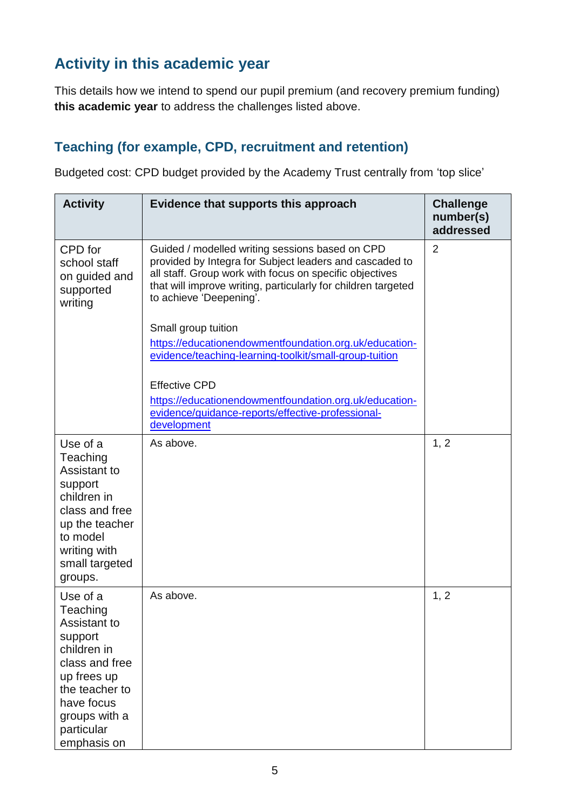## **Activity in this academic year**

This details how we intend to spend our pupil premium (and recovery premium funding) **this academic year** to address the challenges listed above.

#### **Teaching (for example, CPD, recruitment and retention)**

Budgeted cost: CPD budget provided by the Academy Trust centrally from 'top slice'

| <b>Activity</b>                                                                                                                                                               | Evidence that supports this approach                                                                                                                                                                                                                              | <b>Challenge</b><br>number(s)<br>addressed |
|-------------------------------------------------------------------------------------------------------------------------------------------------------------------------------|-------------------------------------------------------------------------------------------------------------------------------------------------------------------------------------------------------------------------------------------------------------------|--------------------------------------------|
| CPD for<br>school staff<br>on guided and<br>supported<br>writing                                                                                                              | Guided / modelled writing sessions based on CPD<br>provided by Integra for Subject leaders and cascaded to<br>all staff. Group work with focus on specific objectives<br>that will improve writing, particularly for children targeted<br>to achieve 'Deepening'. | $\overline{2}$                             |
|                                                                                                                                                                               | Small group tuition                                                                                                                                                                                                                                               |                                            |
|                                                                                                                                                                               | https://educationendowmentfoundation.org.uk/education-<br>evidence/teaching-learning-toolkit/small-group-tuition                                                                                                                                                  |                                            |
|                                                                                                                                                                               | <b>Effective CPD</b>                                                                                                                                                                                                                                              |                                            |
|                                                                                                                                                                               | https://educationendowmentfoundation.org.uk/education-<br>evidence/guidance-reports/effective-professional-<br>development                                                                                                                                        |                                            |
| Use of a<br>Teaching<br>Assistant to<br>support<br>children in<br>class and free<br>up the teacher<br>to model<br>writing with<br>small targeted<br>groups.                   | As above.                                                                                                                                                                                                                                                         | 1, 2                                       |
| Use of a<br>Teaching<br>Assistant to<br>support<br>children in<br>class and free<br>up frees up<br>the teacher to<br>have focus<br>groups with a<br>particular<br>emphasis on | As above.                                                                                                                                                                                                                                                         | 1, 2                                       |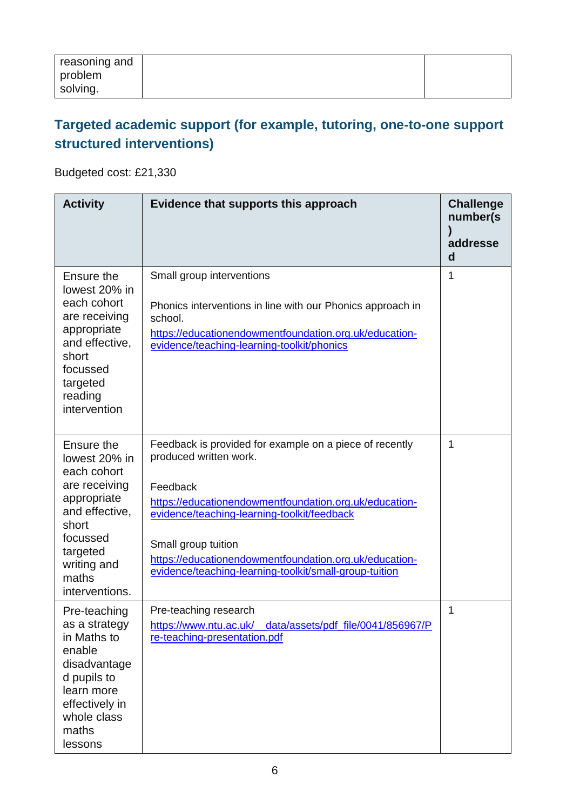| reasoning and<br>problem |  |
|--------------------------|--|
| solving.                 |  |

#### **Targeted academic support (for example, tutoring, one-to-one support structured interventions)**

Budgeted cost: £21,330

| <b>Activity</b>                                                                                                                                                         | Evidence that supports this approach                                                                                                                                                                                                                                                                                                              | <b>Challenge</b><br>number(s<br>addresse<br>d |
|-------------------------------------------------------------------------------------------------------------------------------------------------------------------------|---------------------------------------------------------------------------------------------------------------------------------------------------------------------------------------------------------------------------------------------------------------------------------------------------------------------------------------------------|-----------------------------------------------|
| Ensure the<br>lowest 20% in<br>each cohort<br>are receiving<br>appropriate<br>and effective,<br>short<br>focussed<br>targeted<br>reading<br>intervention                | Small group interventions<br>Phonics interventions in line with our Phonics approach in<br>school.<br>https://educationendowmentfoundation.org.uk/education-<br>evidence/teaching-learning-toolkit/phonics                                                                                                                                        | 1                                             |
| Ensure the<br>lowest 20% in<br>each cohort<br>are receiving<br>appropriate<br>and effective,<br>short<br>focussed<br>targeted<br>writing and<br>maths<br>interventions. | Feedback is provided for example on a piece of recently<br>produced written work.<br>Feedback<br>https://educationendowmentfoundation.org.uk/education-<br>evidence/teaching-learning-toolkit/feedback<br>Small group tuition<br>https://educationendowmentfoundation.org.uk/education-<br>evidence/teaching-learning-toolkit/small-group-tuition | 1                                             |
| Pre-teaching<br>as a strategy<br>in Maths to<br>enable<br>disadvantage<br>d pupils to<br>learn more<br>effectively in<br>whole class<br>maths<br>lessons                | Pre-teaching research<br>https://www.ntu.ac.uk/_data/assets/pdf_file/0041/856967/P<br>re-teaching-presentation.pdf                                                                                                                                                                                                                                | 1                                             |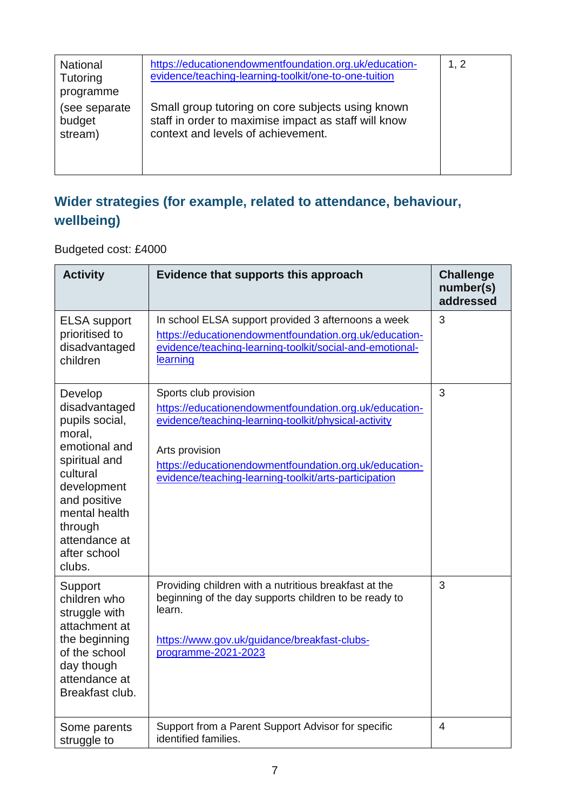| <b>National</b><br>Tutoring<br>programme | https://educationendowmentfoundation.org.uk/education-<br>evidence/teaching-learning-toolkit/one-to-one-tuition                                 | 1, 2 |
|------------------------------------------|-------------------------------------------------------------------------------------------------------------------------------------------------|------|
| (see separate)<br>budget<br>stream)      | Small group tutoring on core subjects using known<br>staff in order to maximise impact as staff will know<br>context and levels of achievement. |      |

## **Wider strategies (for example, related to attendance, behaviour, wellbeing)**

Budgeted cost: £4000

| <b>Activity</b>                                                                                                                                                                                          | Evidence that supports this approach                                                                                                                                                                                                                                         | <b>Challenge</b><br>number(s)<br>addressed |
|----------------------------------------------------------------------------------------------------------------------------------------------------------------------------------------------------------|------------------------------------------------------------------------------------------------------------------------------------------------------------------------------------------------------------------------------------------------------------------------------|--------------------------------------------|
| <b>ELSA</b> support<br>prioritised to<br>disadvantaged<br>children                                                                                                                                       | In school ELSA support provided 3 afternoons a week<br>https://educationendowmentfoundation.org.uk/education-<br>evidence/teaching-learning-toolkit/social-and-emotional-<br>learning                                                                                        | 3                                          |
| Develop<br>disadvantaged<br>pupils social,<br>moral,<br>emotional and<br>spiritual and<br>cultural<br>development<br>and positive<br>mental health<br>through<br>attendance at<br>after school<br>clubs. | Sports club provision<br>https://educationendowmentfoundation.org.uk/education-<br>evidence/teaching-learning-toolkit/physical-activity<br>Arts provision<br>https://educationendowmentfoundation.org.uk/education-<br>evidence/teaching-learning-toolkit/arts-participation | 3                                          |
| Support<br>children who<br>struggle with<br>attachment at<br>the beginning<br>of the school<br>day though<br>attendance at<br>Breakfast club.                                                            | Providing children with a nutritious breakfast at the<br>beginning of the day supports children to be ready to<br>learn.<br>https://www.gov.uk/guidance/breakfast-clubs-<br>programme-2021-2023                                                                              | 3                                          |
| Some parents<br>struggle to                                                                                                                                                                              | Support from a Parent Support Advisor for specific<br>identified families.                                                                                                                                                                                                   | $\overline{4}$                             |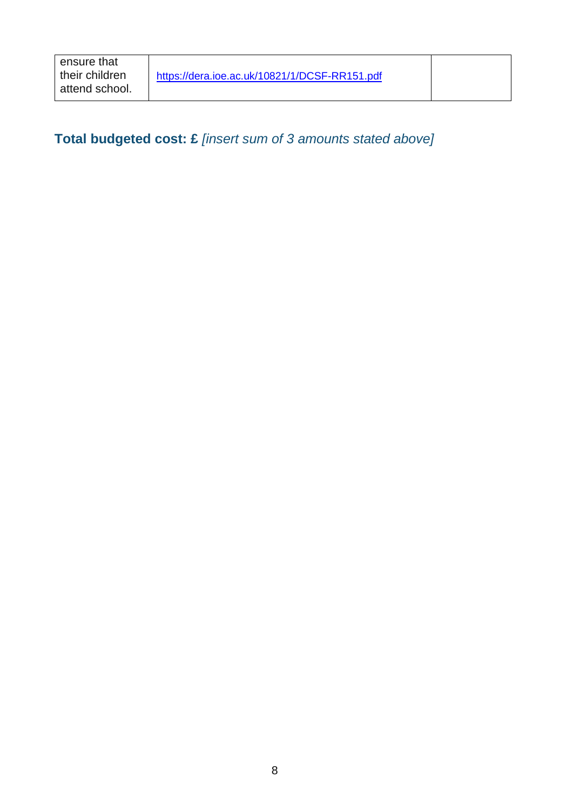### **Total budgeted cost: £** *[insert sum of 3 amounts stated above]*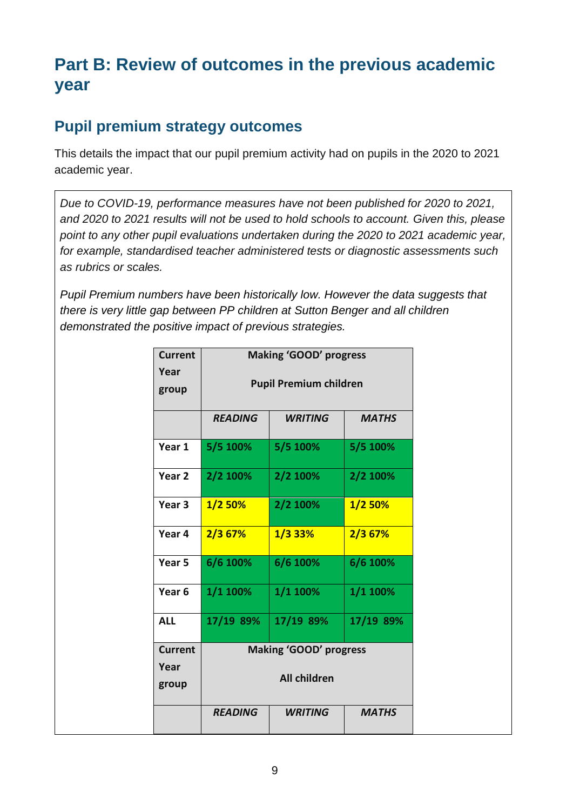# **Part B: Review of outcomes in the previous academic year**

#### **Pupil premium strategy outcomes**

This details the impact that our pupil premium activity had on pupils in the 2020 to 2021 academic year.

*Due to COVID-19, performance measures have not been published for 2020 to 2021, and 2020 to 2021 results will not be used to hold schools to account. Given this, please point to any other pupil evaluations undertaken during the 2020 to 2021 academic year, for example, standardised teacher administered tests or diagnostic assessments such as rubrics or scales.*

*Pupil Premium numbers have been historically low. However the data suggests that there is very little gap between PP children at Sutton Benger and all children demonstrated the positive impact of previous strategies.* 

| <b>Current</b>    | <b>Making 'GOOD' progress</b> |                               |              |
|-------------------|-------------------------------|-------------------------------|--------------|
| Year<br>group     |                               | <b>Pupil Premium children</b> |              |
|                   | <b>READING</b>                | <b>WRITING</b>                | <b>MATHS</b> |
| Year 1            | 5/5 100%                      | 5/5 100%                      | 5/5 100%     |
| Year 2            | 2/2 100%                      | 2/2 100%                      | 2/2 100%     |
| Year 3            | $1/2$ 50%                     | 2/2 100%                      | 1/2 50%      |
| Year 4            | $2/3$ 67%                     | $1/3$ 33%                     | 2/3 67%      |
| Year 5            | 6/6 100%                      | 6/6 100%                      | 6/6 100%     |
| Year <sub>6</sub> | 1/1 100%                      | 1/1 100%                      | 1/1 100%     |
| <b>ALL</b>        | 17/19 89%                     | 17/19 89%                     | 17/19 89%    |
| <b>Current</b>    | <b>Making 'GOOD' progress</b> |                               |              |
| Year<br>group     | <b>All children</b>           |                               |              |
|                   | <b>READING</b>                | <b>WRITING</b>                | <b>MATHS</b> |